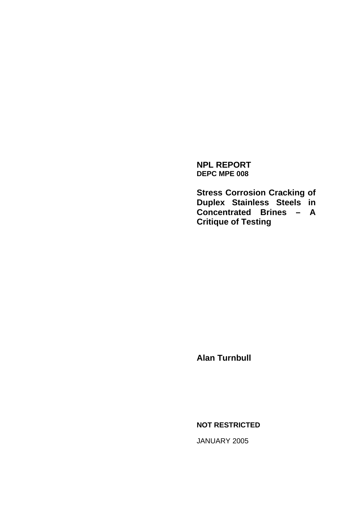**NPL REPORT DEPC MPE 008** 

**Stress Corrosion Cracking of Duplex Stainless Steels in Concentrated Brines – A Critique of Testing** 

**Alan Turnbull** 

**NOT RESTRICTED** 

JANUARY 2005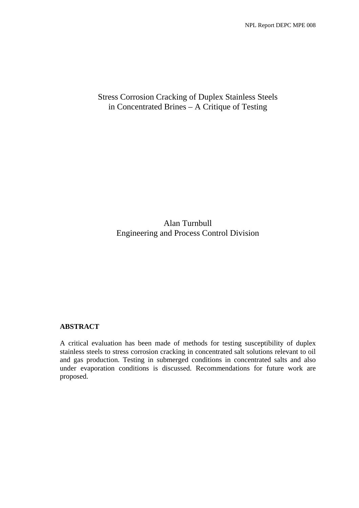# Stress Corrosion Cracking of Duplex Stainless Steels in Concentrated Brines – A Critique of Testing

Alan Turnbull Engineering and Process Control Division

# **ABSTRACT**

A critical evaluation has been made of methods for testing susceptibility of duplex stainless steels to stress corrosion cracking in concentrated salt solutions relevant to oil and gas production. Testing in submerged conditions in concentrated salts and also under evaporation conditions is discussed. Recommendations for future work are proposed.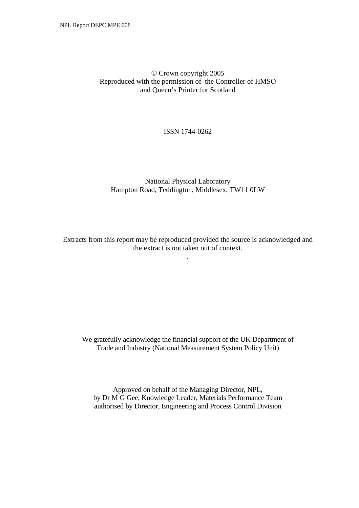## © Crown copyright 2005 Reproduced with the permission of the Controller of HMSO and Queen's Printer for Scotland

#### ISSN 1744-0262

## National Physical Laboratory Hampton Road, Teddington, Middlesex, TW11 0LW

Extracts from this report may be reproduced provided the source is acknowledged and the extract is not taken out of context.

.

We gratefully acknowledge the financial support of the UK Department of Trade and Industry (National Measurement System Policy Unit)

Approved on behalf of the Managing Director, NPL, by Dr M G Gee, Knowledge Leader, Materials Performance Team authorised by Director, Engineering and Process Control Division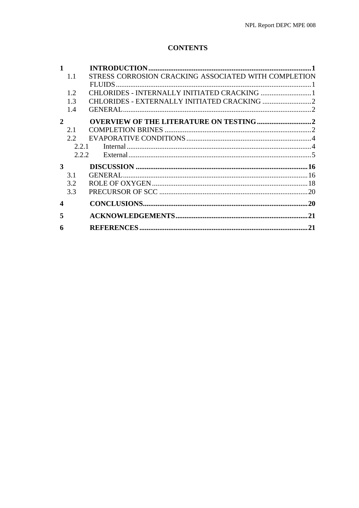# **CONTENTS**

| $\mathbf{1}$     |                                                             |    |
|------------------|-------------------------------------------------------------|----|
|                  | STRESS CORROSION CRACKING ASSOCIATED WITH COMPLETION<br>1.1 |    |
|                  | FLUIDS.                                                     |    |
|                  | CHLORIDES - INTERNALLY INITIATED CRACKING  1<br>1.2         |    |
|                  | 1.3                                                         |    |
|                  | 1.4                                                         |    |
| $\mathbf{2}$     |                                                             |    |
|                  | 2.1                                                         |    |
|                  | 2.2                                                         |    |
|                  | 2.2.1                                                       |    |
|                  | 2.2.2.                                                      |    |
| 3                |                                                             |    |
|                  | 3.1                                                         |    |
|                  | 3.2                                                         |    |
|                  | 3.3                                                         |    |
| $\boldsymbol{4}$ |                                                             | 20 |
| 5                |                                                             |    |
| 6                |                                                             | 21 |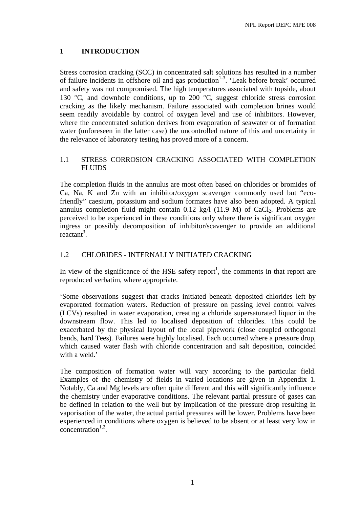# <span id="page-4-0"></span>**1 INTRODUCTION**

Stress corrosion cracking (SCC) in concentrated salt solutions has resulted in a number of failure incidents in offshore oil and gas production<sup>1-3</sup>. 'Leak before break' occurred and safety was not compromised. The high temperatures associated with topside, about 130  $^{\circ}$ C, and downhole conditions, up to 200  $^{\circ}$ C, suggest chloride stress corrosion cracking as the likely mechanism. Failure associated with completion brines would seem readily avoidable by control of oxygen level and use of inhibitors. However, where the concentrated solution derives from evaporation of seawater or of formation water (unforeseen in the latter case) the uncontrolled nature of this and uncertainty in the relevance of laboratory testing has proved more of a concern.

## 1.1 STRESS CORROSION CRACKING ASSOCIATED WITH COMPLETION FLUIDS

The completion fluids in the annulus are most often based on chlorides or bromides of Ca, Na, K and Zn with an inhibitor/oxygen scavenger commonly used but "ecofriendly" caesium, potassium and sodium formates have also been adopted. A typical annulus completion fluid might contain  $0.12 \text{ kg}/1$  (11.9 M) of CaCl<sub>2</sub>. Problems are perceived to be experienced in these conditions only where there is significant oxygen ingress or possibly decomposition of inhibitor/scavenger to provide an additional  $reactant^3$ .

# 1.2 CHLORIDES - INTERNALLY INITIATED CRACKING

In view of the significance of the HSE safety report<sup>1</sup>, the comments in that report are reproduced verbatim, where appropriate.

'Some observations suggest that cracks initiated beneath deposited chlorides left by evaporated formation waters. Reduction of pressure on passing level control valves (LCVs) resulted in water evaporation, creating a chloride supersaturated liquor in the downstream flow. This led to localised deposition of chlorides. This could be exacerbated by the physical layout of the local pipework (close coupled orthogonal bends, hard Tees). Failures were highly localised. Each occurred where a pressure drop, which caused water flash with chloride concentration and salt deposition, coincided with a weld.'

The composition of formation water will vary according to the particular field. Examples of the chemistry of fields in varied locations are given in Appendix 1. Notably, Ca and Mg levels are often quite different and this will significantly influence the chemistry under evaporative conditions. The relevant partial pressure of gases can be defined in relation to the well but by implication of the pressure drop resulting in vaporisation of the water, the actual partial pressures will be lower. Problems have been experienced in conditions where oxygen is believed to be absent or at least very low in concentration $1,2$ .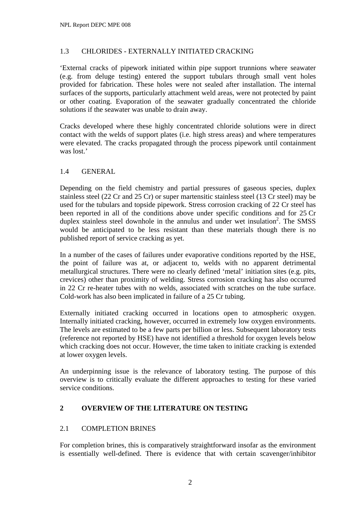## <span id="page-5-0"></span>1.3 CHLORIDES - EXTERNALLY INITIATED CRACKING

'External cracks of pipework initiated within pipe support trunnions where seawater (e.g. from deluge testing) entered the support tubulars through small vent holes provided for fabrication. These holes were not sealed after installation. The internal surfaces of the supports, particularly attachment weld areas, were not protected by paint or other coating. Evaporation of the seawater gradually concentrated the chloride solutions if the seawater was unable to drain away.

Cracks developed where these highly concentrated chloride solutions were in direct contact with the welds of support plates (i.e. high stress areas) and where temperatures were elevated. The cracks propagated through the process pipework until containment was lost.'

## 1.4 GENERAL

Depending on the field chemistry and partial pressures of gaseous species, duplex stainless steel (22 Cr and 25 Cr) or super martensitic stainless steel (13 Cr steel) may be used for the tubulars and topside pipework. Stress corrosion cracking of 22 Cr steel has been reported in all of the conditions above under specific conditions and for 25 Cr duplex stainless steel downhole in the annulus and under wet insulation<sup>2</sup>. The SMSS would be anticipated to be less resistant than these materials though there is no published report of service cracking as yet.

In a number of the cases of failures under evaporative conditions reported by the HSE, the point of failure was at, or adjacent to, welds with no apparent detrimental metallurgical structures. There were no clearly defined 'metal' initiation sites (e.g. pits, crevices) other than proximity of welding. Stress corrosion cracking has also occurred in 22 Cr re-heater tubes with no welds, associated with scratches on the tube surface. Cold-work has also been implicated in failure of a 25 Cr tubing.

Externally initiated cracking occurred in locations open to atmospheric oxygen. Internally initiated cracking, however, occurred in extremely low oxygen environments. The levels are estimated to be a few parts per billion or less. Subsequent laboratory tests (reference not reported by HSE) have not identified a threshold for oxygen levels below which cracking does not occur. However, the time taken to initiate cracking is extended at lower oxygen levels.

An underpinning issue is the relevance of laboratory testing. The purpose of this overview is to critically evaluate the different approaches to testing for these varied service conditions.

# **2 OVERVIEW OF THE LITERATURE ON TESTING**

# 2.1 COMPLETION BRINES

For completion brines, this is comparatively straightforward insofar as the environment is essentially well-defined. There is evidence that with certain scavenger/inhibitor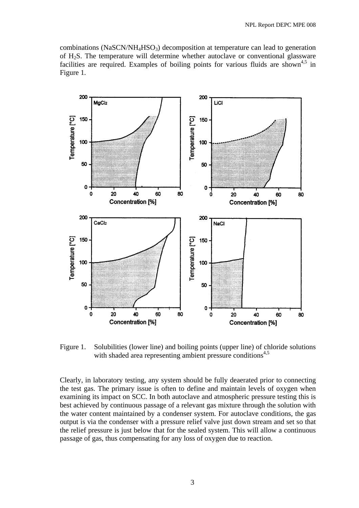combinations (NaSCN/NH<sub>4</sub>HSO<sub>3</sub>) decomposition at temperature can lead to generation of H2S. The temperature will determine whether autoclave or conventional glassware facilities are required. Examples of boiling points for various fluids are shown<sup>4,5</sup> in Figure 1.



Figure 1. Solubilities (lower line) and boiling points (upper line) of chloride solutions with shaded area representing ambient pressure conditions<sup>4,5</sup>

Clearly, in laboratory testing, any system should be fully deaerated prior to connecting the test gas. The primary issue is often to define and maintain levels of oxygen when examining its impact on SCC. In both autoclave and atmospheric pressure testing this is best achieved by continuous passage of a relevant gas mixture through the solution with the water content maintained by a condenser system. For autoclave conditions, the gas output is via the condenser with a pressure relief valve just down stream and set so that the relief pressure is just below that for the sealed system. This will allow a continuous passage of gas, thus compensating for any loss of oxygen due to reaction.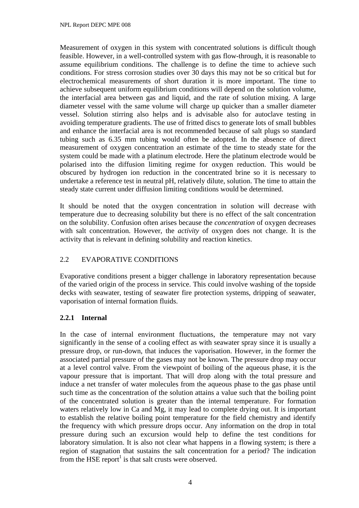<span id="page-7-0"></span>Measurement of oxygen in this system with concentrated solutions is difficult though feasible. However, in a well-controlled system with gas flow-through, it is reasonable to assume equilibrium conditions. The challenge is to define the time to achieve such conditions. For stress corrosion studies over 30 days this may not be so critical but for electrochemical measurements of short duration it is more important. The time to achieve subsequent uniform equilibrium conditions will depend on the solution volume, the interfacial area between gas and liquid, and the rate of solution mixing. A large diameter vessel with the same volume will charge up quicker than a smaller diameter vessel. Solution stirring also helps and is advisable also for autoclave testing in avoiding temperature gradients. The use of fritted discs to generate lots of small bubbles and enhance the interfacial area is not recommended because of salt plugs so standard tubing such as 6.35 mm tubing would often be adopted. In the absence of direct measurement of oxygen concentration an estimate of the time to steady state for the system could be made with a platinum electrode. Here the platinum electrode would be polarised into the diffusion limiting regime for oxygen reduction. This would be obscured by hydrogen ion reduction in the concentrated brine so it is necessary to undertake a reference test in neutral pH, relatively dilute, solution. The time to attain the steady state current under diffusion limiting conditions would be determined.

It should be noted that the oxygen concentration in solution will decrease with temperature due to decreasing solubility but there is no effect of the salt concentration on the solubility. Confusion often arises because the *concentration* of oxygen decreases with salt concentration. However, the *activity* of oxygen does not change. It is the activity that is relevant in defining solubility and reaction kinetics.

# 2.2 EVAPORATIVE CONDITIONS

Evaporative conditions present a bigger challenge in laboratory representation because of the varied origin of the process in service. This could involve washing of the topside decks with seawater, testing of seawater fire protection systems, dripping of seawater, vaporisation of internal formation fluids.

# **2.2.1 Internal**

In the case of internal environment fluctuations, the temperature may not vary significantly in the sense of a cooling effect as with seawater spray since it is usually a pressure drop, or run-down, that induces the vaporisation. However, in the former the associated partial pressure of the gases may not be known. The pressure drop may occur at a level control valve. From the viewpoint of boiling of the aqueous phase, it is the vapour pressure that is important. That will drop along with the total pressure and induce a net transfer of water molecules from the aqueous phase to the gas phase until such time as the concentration of the solution attains a value such that the boiling point of the concentrated solution is greater than the internal temperature. For formation waters relatively low in Ca and Mg, it may lead to complete drying out. It is important to establish the relative boiling point temperature for the field chemistry and identify the frequency with which pressure drops occur. Any information on the drop in total pressure during such an excursion would help to define the test conditions for laboratory simulation. It is also not clear what happens in a flowing system; is there a region of stagnation that sustains the salt concentration for a period? The indication from the HSE report<sup>1</sup> is that salt crusts were observed.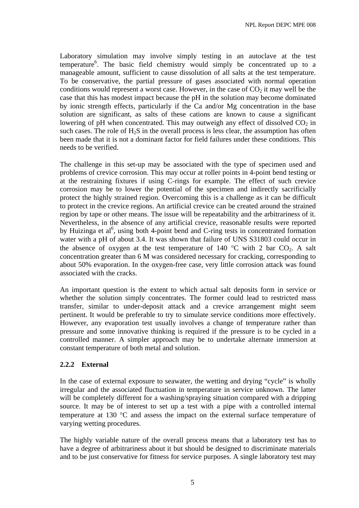<span id="page-8-0"></span>Laboratory simulation may involve simply testing in an autoclave at the test temperature<sup>6</sup>. The basic field chemistry would simply be concentrated up to a manageable amount, sufficient to cause dissolution of all salts at the test temperature. To be conservative, the partial pressure of gases associated with normal operation conditions would represent a worst case. However, in the case of  $CO<sub>2</sub>$  it may well be the case that this has modest impact because the pH in the solution may become dominated by ionic strength effects, particularly if the Ca and/or Mg concentration in the base solution are significant, as salts of these cations are known to cause a significant lowering of pH when concentrated. This may outweigh any effect of dissolved  $CO<sub>2</sub>$  in such cases. The role of  $H_2S$  in the overall process is less clear, the assumption has often been made that it is not a dominant factor for field failures under these conditions. This needs to be verified.

The challenge in this set-up may be associated with the type of specimen used and problems of crevice corrosion. This may occur at roller points in 4-point bend testing or at the restraining fixtures if using C-rings for example. The effect of such crevice corrosion may be to lower the potential of the specimen and indirectly sacrificially protect the highly strained region. Overcoming this is a challenge as it can be difficult to protect in the crevice regions. An artificial crevice can be created around the strained region by tape or other means. The issue will be repeatability and the arbitrariness of it. Nevertheless, in the absence of any artificial crevice, reasonable results were reported by Huizinga et al<sup>6</sup>, using both 4-point bend and C-ring tests in concentrated formation water with a pH of about 3.4. It was shown that failure of UNS S31803 could occur in the absence of oxygen at the test temperature of 140  $^{\circ}$ C with 2 bar CO<sub>2</sub>. A salt concentration greater than 6 M was considered necessary for cracking, corresponding to about 50% evaporation. In the oxygen-free case, very little corrosion attack was found associated with the cracks.

An important question is the extent to which actual salt deposits form in service or whether the solution simply concentrates. The former could lead to restricted mass transfer, similar to under-deposit attack and a crevice arrangement might seem pertinent. It would be preferable to try to simulate service conditions more effectively. However, any evaporation test usually involves a change of temperature rather than pressure and some innovative thinking is required if the pressure is to be cycled in a controlled manner. A simpler approach may be to undertake alternate immersion at constant temperature of both metal and solution.

# **2.2.2 External**

In the case of external exposure to seawater, the wetting and drying "cycle" is wholly irregular and the associated fluctuation in temperature in service unknown. The latter will be completely different for a washing/spraying situation compared with a dripping source. It may be of interest to set up a test with a pipe with a controlled internal temperature at 130 °C and assess the impact on the external surface temperature of varying wetting procedures.

The highly variable nature of the overall process means that a laboratory test has to have a degree of arbitrariness about it but should be designed to discriminate materials and to be just conservative for fitness for service purposes. A single laboratory test may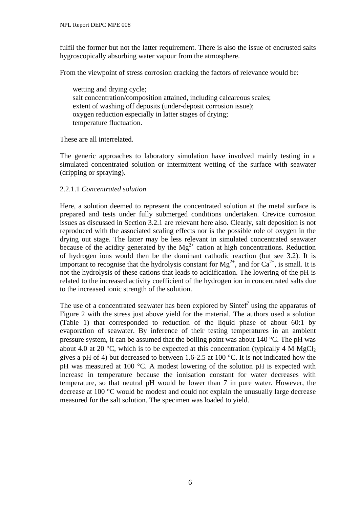fulfil the former but not the latter requirement. There is also the issue of encrusted salts hygroscopically absorbing water vapour from the atmosphere.

From the viewpoint of stress corrosion cracking the factors of relevance would be:

wetting and drying cycle; salt concentration/composition attained, including calcareous scales; extent of washing off deposits (under-deposit corrosion issue); oxygen reduction especially in latter stages of drying; temperature fluctuation.

These are all interrelated.

The generic approaches to laboratory simulation have involved mainly testing in a simulated concentrated solution or intermittent wetting of the surface with seawater (dripping or spraying).

#### 2.2.1.1 *Concentrated solution*

Here, a solution deemed to represent the concentrated solution at the metal surface is prepared and tests under fully submerged conditions undertaken. Crevice corrosion issues as discussed in Section 3.2.1 are relevant here also. Clearly, salt deposition is not reproduced with the associated scaling effects nor is the possible role of oxygen in the drying out stage. The latter may be less relevant in simulated concentrated seawater because of the acidity generated by the  $Mg^{2+}$  cation at high concentrations. Reduction of hydrogen ions would then be the dominant cathodic reaction (but see 3.2). It is important to recognise that the hydrolysis constant for  $Mg^{2+}$ , and for  $Ca^{2+}$ , is small. It is not the hydrolysis of these cations that leads to acidification. The lowering of the pH is related to the increased activity coefficient of the hydrogen ion in concentrated salts due to the increased ionic strength of the solution.

The use of a concentrated seawater has been explored by Sintef<sup>7</sup> using the apparatus of Figure 2 with the stress just above yield for the material. The authors used a solution (Table 1) that corresponded to reduction of the liquid phase of about 60:1 by evaporation of seawater. By inference of their testing temperatures in an ambient pressure system, it can be assumed that the boiling point was about 140 °C. The pH was about 4.0 at 20 °C, which is to be expected at this concentration (typically 4 M MgCl<sub>2</sub> gives a pH of 4) but decreased to between 1.6-2.5 at 100 °C. It is not indicated how the pH was measured at 100 °C. A modest lowering of the solution pH is expected with increase in temperature because the ionisation constant for water decreases with temperature, so that neutral pH would be lower than 7 in pure water. However, the decrease at 100 °C would be modest and could not explain the unusually large decrease measured for the salt solution. The specimen was loaded to yield.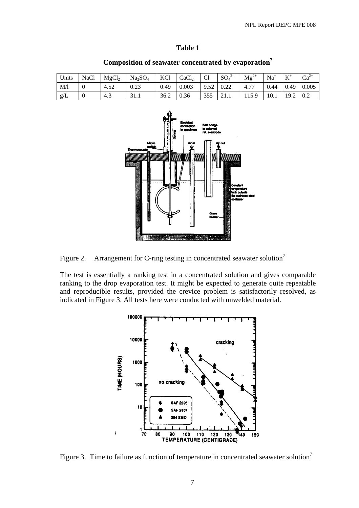| . .<br>., |  |
|-----------|--|
| ×         |  |

| Units | <b>NaCl</b> | MgCl <sub>2</sub> | Na <sub>2</sub> SO <sub>4</sub> | KCl  | CaCl <sub>2</sub> | $Cl-$ | $SO_4^2$     | $Mg^{2+}$             | $Na+$ | T<br>л | $Ca^{2+}$ |
|-------|-------------|-------------------|---------------------------------|------|-------------------|-------|--------------|-----------------------|-------|--------|-----------|
| M/1   |             | 4.52              | 0.23                            | 0.49 | 0.003             | 9.52  | ሰ ንን<br>J.44 | $\overline{a}$<br>4.7 | 0.44  | 0.49   | 0.005     |
| g/L   |             | 4.3               | 31.1                            | 36.2 | 0.36              | 355   | 21.1         | 115.9                 | 10.1  | 19.2   | 0.2       |

**Composition of seawater concentrated by evaporation7**



Figure 2. Arrangement for C-ring testing in concentrated seawater solution<sup>7</sup>

The test is essentially a ranking test in a concentrated solution and gives comparable ranking to the drop evaporation test. It might be expected to generate quite repeatable and reproducible results, provided the crevice problem is satisfactorily resolved, as indicated in Figure 3. All tests here were conducted with unwelded material.



Figure 3. Time to failure as function of temperature in concentrated seawater solution<sup>7</sup>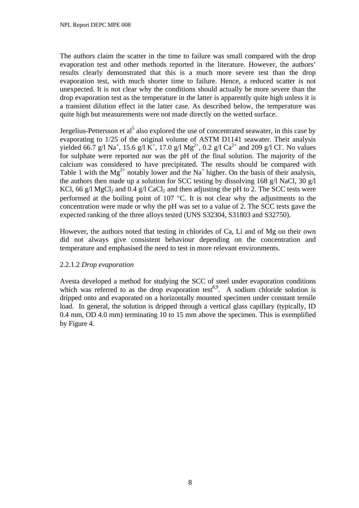The authors claim the scatter in the time to failure was small compared with the drop evaporation test and other methods reported in the literature. However, the authors' results clearly demonstrated that this is a much more severe test than the drop evaporation test, with much shorter time to failure. Hence, a reduced scatter is not unexpected. It is not clear why the conditions should actually be more severe than the drop evaporation test as the temperature in the latter is apparently quite high unless it is a transient dilution effect in the latter case. As described below, the temperature was quite high but measurements were not made directly on the wetted surface.

Jergelius-Pettersson et al<sup>5</sup> also explored the use of concentrated seawater, in this case by evaporating to 1/25 of the original volume of ASTM D1141 seawater. Their analysis yielded 66.7 g/l Na<sup>+</sup>, 15.6 g/l K<sup>+</sup>, 17.0 g/l Mg<sup>2+</sup>, 0.2 g/l Ca<sup>2+</sup> and 209 g/l Cl<sup>-</sup>. No values for sulphate were reported nor was the pH of the final solution. The majority of the calcium was considered to have precipitated. The results should be compared with Table 1 with the  $Mg^{2+}$  notably lower and the Na<sup>+</sup> higher. On the basis of their analysis, the authors then made up a solution for SCC testing by dissolving 168 g/l NaCl, 30 g/l KCl, 66 g/l MgCl<sub>2</sub> and 0.4 g/l CaCl<sub>2</sub> and then adjusting the pH to 2. The SCC tests were performed at the boiling point of 107 °C. It is not clear why the adjustments to the concentration were made or why the pH was set to a value of 2. The SCC tests gave the expected ranking of the three alloys tested (UNS S32304, S31803 and S32750).

However, the authors noted that testing in chlorides of Ca, Li and of Mg on their own did not always give consistent behaviour depending on the concentration and temperature and emphasised the need to test in more relevant environments.

#### 2.2.1.2 *Drop evaporation*

Avesta developed a method for studying the SCC of steel under evaporation conditions which was referred to as the drop evaporation test<sup>8,9</sup>. A sodium chloride solution is dripped onto and evaporated on a horizontally mounted specimen under constant tensile load. In general, the solution is dripped through a vertical glass capillary (typically, ID 0.4 mm, OD 4.0 mm) terminating 10 to 15 mm above the specimen. This is exemplified by Figure 4.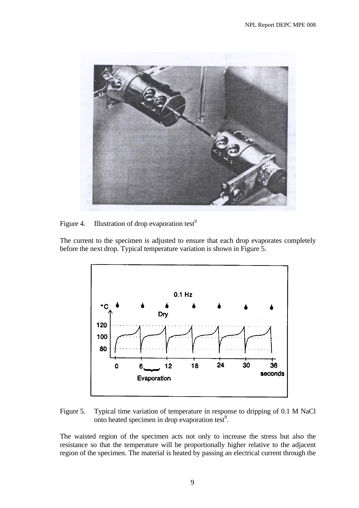

Figure 4. Illustration of drop evaporation test<sup>9</sup>

The current to the specimen is adjusted to ensure that each drop evaporates completely before the next drop. Typical temperature variation is shown in Figure 5.



Figure 5. Typical time variation of temperature in response to dripping of 0.1 M NaCl onto heated specimen in drop evaporation test<sup>9</sup>.

The waisted region of the specimen acts not only to increase the stress but also the resistance so that the temperature will be proportionally higher relative to the adjacent region of the specimen. The material is heated by passing an electrical current through the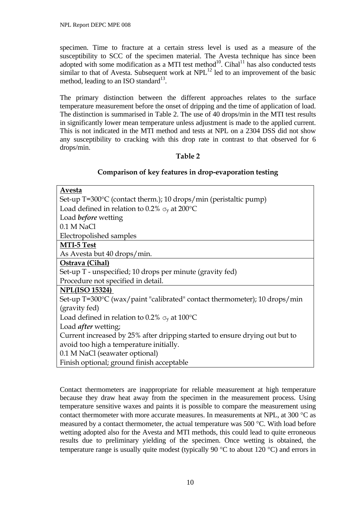specimen. Time to fracture at a certain stress level is used as a measure of the susceptibility to SCC of the specimen material. The Avesta technique has since been adopted with some modification as a MTI test method<sup>10</sup>. Cihal<sup>11</sup> has also conducted tests similar to that of Avesta. Subsequent work at  $NPL^{12}$  led to an improvement of the basic method, leading to an ISO standard<sup>13</sup>.

The primary distinction between the different approaches relates to the surface temperature measurement before the onset of dripping and the time of application of load. The distinction is summarised in Table 2. The use of 40 drops/min in the MTI test results in significantly lower mean temperature unless adjustment is made to the applied current. This is not indicated in the MTI method and tests at NPL on a 2304 DSS did not show any susceptibility to cracking with this drop rate in contrast to that observed for 6 drops/min.

# **Table 2**

## **Comparison of key features in drop-evaporation testing**

| Avesta                                                                      |  |  |  |  |  |  |
|-----------------------------------------------------------------------------|--|--|--|--|--|--|
| Set-up T=300°C (contact therm.); 10 drops/min (peristaltic pump)            |  |  |  |  |  |  |
| Load defined in relation to 0.2% $\sigma_{v}$ at 200°C                      |  |  |  |  |  |  |
| Load <i>before</i> wetting                                                  |  |  |  |  |  |  |
| 0.1 M NaCl                                                                  |  |  |  |  |  |  |
| Electropolished samples                                                     |  |  |  |  |  |  |
| <b>MTI-5 Test</b>                                                           |  |  |  |  |  |  |
| As Avesta but 40 drops/min.                                                 |  |  |  |  |  |  |
| Ostrava (Cihal)                                                             |  |  |  |  |  |  |
| Set-up T - unspecified; 10 drops per minute (gravity fed)                   |  |  |  |  |  |  |
| Procedure not specified in detail.                                          |  |  |  |  |  |  |
| <b>NPL(ISO 15324)</b>                                                       |  |  |  |  |  |  |
| Set-up T=300°C (wax/paint "calibrated" contact thermometer); 10 drops/min   |  |  |  |  |  |  |
| (gravity fed)                                                               |  |  |  |  |  |  |
| Load defined in relation to 0.2% $\sigma_{\rm v}$ at 100°C                  |  |  |  |  |  |  |
| Load <i>after</i> wetting;                                                  |  |  |  |  |  |  |
| Current increased by 25% after dripping started to ensure drying out but to |  |  |  |  |  |  |
| avoid too high a temperature initially.                                     |  |  |  |  |  |  |
| 0.1 M NaCl (seawater optional)                                              |  |  |  |  |  |  |
| Finish optional; ground finish acceptable                                   |  |  |  |  |  |  |

Contact thermometers are inappropriate for reliable measurement at high temperature because they draw heat away from the specimen in the measurement process. Using temperature sensitive waxes and paints it is possible to compare the measurement using contact thermometer with more accurate measures. In measurements at NPL, at 300  $^{\circ}$ C as measured by a contact thermometer, the actual temperature was 500 °C. With load before wetting adopted also for the Avesta and MTI methods, this could lead to quite erroneous results due to preliminary yielding of the specimen. Once wetting is obtained, the temperature range is usually quite modest (typically 90  $\degree$ C to about 120  $\degree$ C) and errors in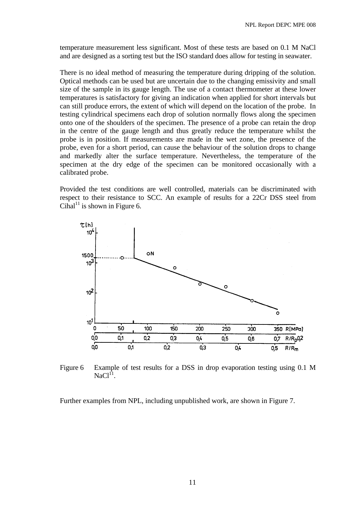temperature measurement less significant. Most of these tests are based on 0.1 M NaCl and are designed as a sorting test but the ISO standard does allow for testing in seawater.

There is no ideal method of measuring the temperature during dripping of the solution. Optical methods can be used but are uncertain due to the changing emissivity and small size of the sample in its gauge length. The use of a contact thermometer at these lower temperatures is satisfactory for giving an indication when applied for short intervals but can still produce errors, the extent of which will depend on the location of the probe. In testing cylindrical specimens each drop of solution normally flows along the specimen onto one of the shoulders of the specimen. The presence of a probe can retain the drop in the centre of the gauge length and thus greatly reduce the temperature whilst the probe is in position. If measurements are made in the wet zone, the presence of the probe, even for a short period, can cause the behaviour of the solution drops to change and markedly alter the surface temperature. Nevertheless, the temperature of the specimen at the dry edge of the specimen can be monitored occasionally with a calibrated probe.

Provided the test conditions are well controlled, materials can be discriminated with respect to their resistance to SCC. An example of results for a 22Cr DSS steel from Cihal<sup>11</sup> is shown in Figure 6.



Figure 6 Example of test results for a DSS in drop evaporation testing using 0.1 M  $NaCl<sup>11</sup>$ 

Further examples from NPL, including unpublished work, are shown in Figure 7.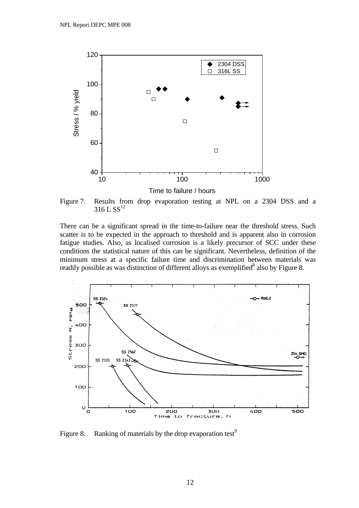

Figure 7. Results from drop evaporation testing at NPL on a 2304 DSS and a  $316$  L SS<sup>12</sup>

There can be a significant spread in the time-to-failure near the threshold stress. Such scatter is to be expected in the approach to threshold and is apparent also in corrosion fatigue studies. Also, as localised corrosion is a likely precursor of SCC under these conditions the statistical nature of this can be significant. Nevertheless, definition of the minimum stress at a specific failure time and discrimination between materials was readily possible as was distinction of different alloys as exemplified<sup>8</sup> also by Figure 8.



Figure 8. Ranking of materials by the drop evaporation test<sup>9</sup>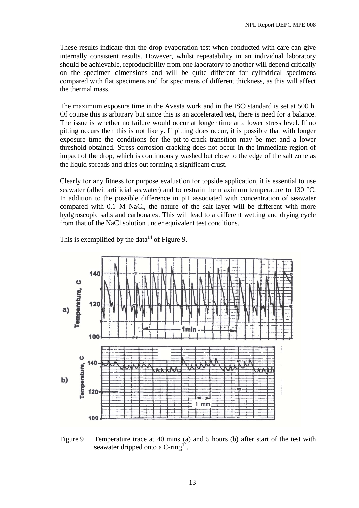These results indicate that the drop evaporation test when conducted with care can give internally consistent results. However, whilst repeatability in an individual laboratory should be achievable, reproducibility from one laboratory to another will depend critically on the specimen dimensions and will be quite different for cylindrical specimens compared with flat specimens and for specimens of different thickness, as this will affect the thermal mass.

The maximum exposure time in the Avesta work and in the ISO standard is set at 500 h. Of course this is arbitrary but since this is an accelerated test, there is need for a balance. The issue is whether no failure would occur at longer time at a lower stress level. If no pitting occurs then this is not likely. If pitting does occur, it is possible that with longer exposure time the conditions for the pit-to-crack transition may be met and a lower threshold obtained. Stress corrosion cracking does not occur in the immediate region of impact of the drop, which is continuously washed but close to the edge of the salt zone as the liquid spreads and dries out forming a significant crust.

Clearly for any fitness for purpose evaluation for topside application, it is essential to use seawater (albeit artificial seawater) and to restrain the maximum temperature to 130 °C. In addition to the possible difference in pH associated with concentration of seawater compared with 0.1 M NaCl, the nature of the salt layer will be different with more hydgroscopic salts and carbonates. This will lead to a different wetting and drying cycle from that of the NaCl solution under equivalent test conditions.



This is exemplified by the data<sup>14</sup> of Figure 9.

Figure 9 Temperature trace at 40 mins (a) and 5 hours (b) after start of the test with seawater dripped onto a  $C$ -ring<sup>14</sup>.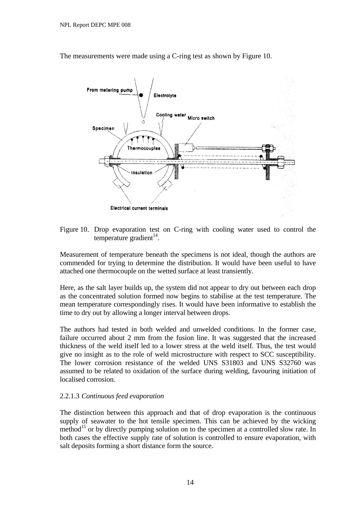The measurements were made using a C-ring test as shown by Figure 10.



#### Figure 10. Drop evaporation test on C-ring with cooling water used to control the temperature gradient $^{14}$ .

Measurement of temperature beneath the specimens is not ideal, though the authors are commended for trying to determine the distribution. It would have been useful to have attached one thermocouple on the wetted surface at least transiently.

Here, as the salt layer builds up, the system did not appear to dry out between each drop as the concentrated solution formed now begins to stabilise at the test temperature. The mean temperature correspondingly rises. It would have been informative to establish the time to dry out by allowing a longer interval between drops.

The authors had tested in both welded and unwelded conditions. In the former case, failure occurred about 2 mm from the fusion line. It was suggested that the increased thickness of the weld itself led to a lower stress at the weld itself. Thus, the test would give no insight as to the role of weld microstructure with respect to SCC susceptibility. The lower corrosion resistance of the welded UNS S31803 and UNS S32760 was assumed to be related to oxidation of the surface during welding, favouring initiation of localised corrosion.

#### 2.2.1.3 *Continuous feed evaporation*

The distinction between this approach and that of drop evaporation is the continuous supply of seawater to the hot tensile specimen. This can be achieved by the wicking method<sup>15</sup> or by directly pumping solution on to the specimen at a controlled slow rate. In both cases the effective supply rate of solution is controlled to ensure evaporation, with salt deposits forming a short distance form the source.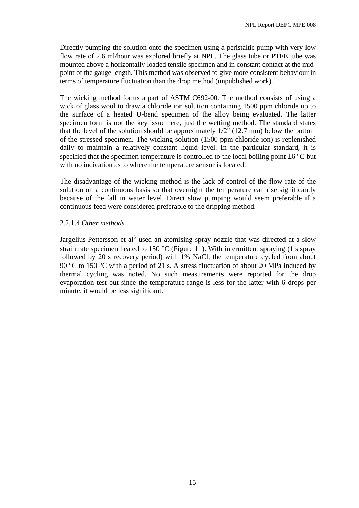Directly pumping the solution onto the specimen using a peristaltic pump with very low flow rate of 2.6 ml/hour was explored briefly at NPL. The glass tube or PTFE tube was mounted above a horizontally loaded tensile specimen and in constant contact at the midpoint of the gauge length. This method was observed to give more consistent behaviour in terms of temperature fluctuation than the drop method (unpublished work).

The wicking method forms a part of ASTM C692-00. The method consists of using a wick of glass wool to draw a chloride ion solution containing 1500 ppm chloride up to the surface of a heated U-bend specimen of the alloy being evaluated. The latter specimen form is not the key issue here, just the wetting method. The standard states that the level of the solution should be approximately 1/2" (12.7 mm) below the bottom of the stressed specimen. The wicking solution (1500 ppm chloride ion) is replenished daily to maintain a relatively constant liquid level. In the particular standard, it is specified that the specimen temperature is controlled to the local boiling point  $\pm 6^{\circ}$ C but with no indication as to where the temperature sensor is located.

The disadvantage of the wicking method is the lack of control of the flow rate of the solution on a continuous basis so that overnight the temperature can rise significantly because of the fall in water level. Direct slow pumping would seem preferable if a continuous feed were considered preferable to the dripping method.

#### 2.2.1.4 *Other methods*

Jargelius-Pettersson et al<sup>5</sup> used an atomising spray nozzle that was directed at a slow strain rate specimen heated to 150 °C (Figure 11). With intermittent spraying (1 s spray followed by 20 s recovery period) with 1% NaCl, the temperature cycled from about 90 °C to 150 °C with a period of 21 s. A stress fluctuation of about 20 MPa induced by thermal cycling was noted. No such measurements were reported for the drop evaporation test but since the temperature range is less for the latter with 6 drops per minute, it would be less significant.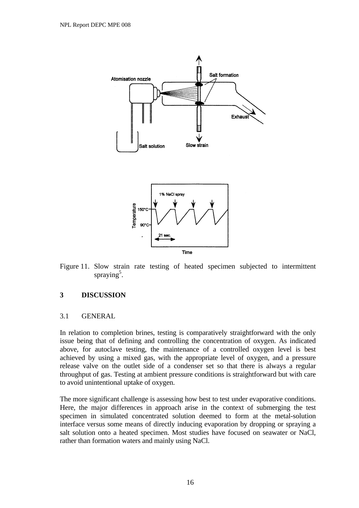<span id="page-19-0"></span>

Figure 11. Slow strain rate testing of heated specimen subjected to intermittent spraying<sup>5</sup>.

#### **3 DISCUSSION**

#### 3.1 GENERAL

In relation to completion brines, testing is comparatively straightforward with the only issue being that of defining and controlling the concentration of oxygen. As indicated above, for autoclave testing, the maintenance of a controlled oxygen level is best achieved by using a mixed gas, with the appropriate level of oxygen, and a pressure release valve on the outlet side of a condenser set so that there is always a regular throughput of gas. Testing at ambient pressure conditions is straightforward but with care to avoid unintentional uptake of oxygen.

The more significant challenge is assessing how best to test under evaporative conditions. Here, the major differences in approach arise in the context of submerging the test specimen in simulated concentrated solution deemed to form at the metal-solution interface versus some means of directly inducing evaporation by dropping or spraying a salt solution onto a heated specimen. Most studies have focused on seawater or NaCl, rather than formation waters and mainly using NaCl.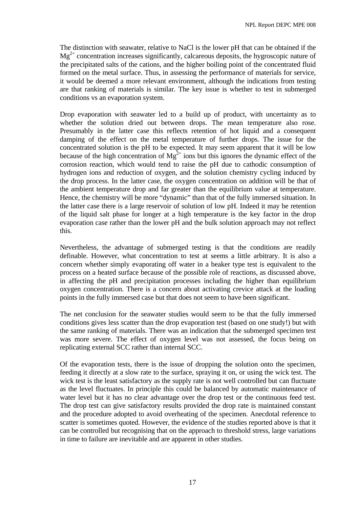The distinction with seawater, relative to NaCl is the lower pH that can be obtained if the  $Mg^{2+}$  concentration increases significantly, calcareous deposits, the hygroscopic nature of the precipitated salts of the cations, and the higher boiling point of the concentrated fluid formed on the metal surface. Thus, in assessing the performance of materials for service, it would be deemed a more relevant environment, although the indications from testing are that ranking of materials is similar. The key issue is whether to test in submerged conditions vs an evaporation system.

Drop evaporation with seawater led to a build up of product, with uncertainty as to whether the solution dried out between drops. The mean temperature also rose. Presumably in the latter case this reflects retention of hot liquid and a consequent damping of the effect on the metal temperature of further drops. The issue for the concentrated solution is the pH to be expected. It may seem apparent that it will be low because of the high concentration of  $Mg^{2+}$  ions but this ignores the dynamic effect of the corrosion reaction, which would tend to raise the pH due to cathodic consumption of hydrogen ions and reduction of oxygen, and the solution chemistry cycling induced by the drop process. In the latter case, the oxygen concentration on addition will be that of the ambient temperature drop and far greater than the equilibrium value at temperature. Hence, the chemistry will be more "dynamic" than that of the fully immersed situation. In the latter case there is a large reservoir of solution of low pH. Indeed it may be retention of the liquid salt phase for longer at a high temperature is the key factor in the drop evaporation case rather than the lower pH and the bulk solution approach may not reflect this.

Nevertheless, the advantage of submerged testing is that the conditions are readily definable. However, what concentration to test at seems a little arbitrary. It is also a concern whether simply evaporating off water in a beaker type test is equivalent to the process on a heated surface because of the possible role of reactions, as discussed above, in affecting the pH and precipitation processes including the higher than equilibrium oxygen concentration. There is a concern about activating crevice attack at the loading points in the fully immersed case but that does not seem to have been significant.

The net conclusion for the seawater studies would seem to be that the fully immersed conditions gives less scatter than the drop evaporation test (based on one study!) but with the same ranking of materials. There was an indication that the submerged specimen test was more severe. The effect of oxygen level was not assessed, the focus being on replicating external SCC rather than internal SCC.

Of the evaporation tests, there is the issue of dropping the solution onto the specimen, feeding it directly at a slow rate to the surface, spraying it on, or using the wick test. The wick test is the least satisfactory as the supply rate is not well controlled but can fluctuate as the level fluctuates. In principle this could be balanced by automatic maintenance of water level but it has no clear advantage over the drop test or the continuous feed test. The drop test can give satisfactory results provided the drop rate is maintained constant and the procedure adopted to avoid overheating of the specimen. Anecdotal reference to scatter is sometimes quoted. However, the evidence of the studies reported above is that it can be controlled but recognising that on the approach to threshold stress, large variations in time to failure are inevitable and are apparent in other studies.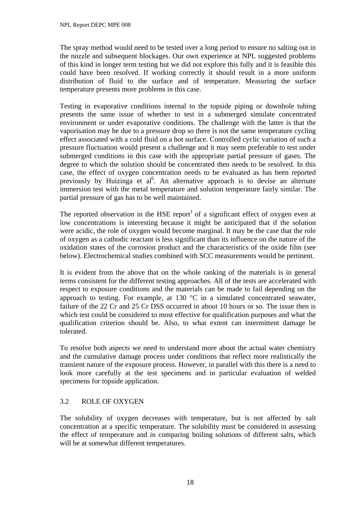<span id="page-21-0"></span>The spray method would need to be tested over a long period to ensure no salting out in the nozzle and subsequent blockages. Our own experience at NPL suggested problems of this kind in longer term testing but we did not explore this fully and it is feasible this could have been resolved. If working correctly it should result in a more uniform distribution of fluid to the surface and of temperature. Measuring the surface temperature presents more problems in this case.

Testing in evaporative conditions internal to the topside piping or downhole tubing presents the same issue of whether to test in a submerged simulate concentrated environment or under evaporative conditions. The challenge with the latter is that the vaporisation may be due to a pressure drop so there is not the same temperature cycling effect associated with a cold fluid on a hot surface. Controlled cyclic variation of such a pressure fluctuation would present a challenge and it may seem preferable to test under submerged conditions in this case with the appropriate partial pressure of gases. The degree to which the solution should be concentrated then needs to be resolved. In this case, the effect of oxygen concentration needs to be evaluated as has been reported previously by Huizinga et al<sup>6</sup>. An alternative approach is to devise an alternate immersion test with the metal temperature and solution temperature fairly similar. The partial pressure of gas has to be well maintained.

The reported observation in the HSE report<sup>1</sup> of a significant effect of oxygen even at low concentrations is interesting because it might be anticipated that if the solution were acidic, the role of oxygen would become marginal. It may be the case that the role of oxygen as a cathodic reactant is less significant than its influence on the nature of the oxidation states of the corrosion product and the characteristics of the oxide film (see below). Electrochemical studies combined with SCC measurements would be pertinent.

It is evident from the above that on the whole ranking of the materials is in general terms consistent for the different testing approaches. All of the tests are accelerated with respect to exposure conditions and the materials can be made to fail depending on the approach to testing. For example, at  $130\text{ °C}$  in a simulated concentrated seawater, failure of the 22 Cr and 25 Cr DSS occurred in about 10 hours or so. The issue then is which test could be considered to most effective for qualification purposes and what the qualification criterion should be. Also, to what extent can intermittent damage be tolerated.

To resolve both aspects we need to understand more about the actual water chemistry and the cumulative damage process under conditions that reflect more realistically the transient nature of the exposure process. However, in parallel with this there is a need to look more carefully at the test specimens and in particular evaluation of welded specimens for topside application.

# 3.2 ROLE OF OXYGEN

The solubility of oxygen decreases with temperature, but is not affected by salt concentration at a specific temperature. The solubility must be considered in assessing the effect of temperature and in comparing boiling solutions of different salts, which will be at somewhat different temperatures.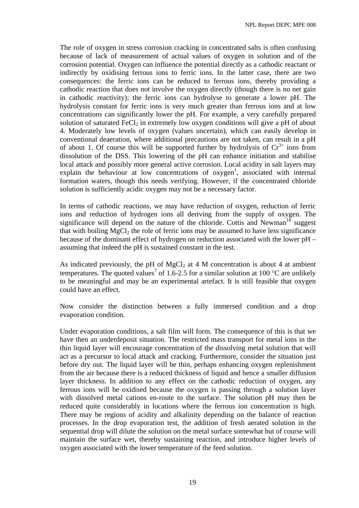The role of oxygen in stress corrosion cracking in concentrated salts is often confusing because of lack of measurement of actual values of oxygen in solution and of the corrosion potential. Oxygen can influence the potential directly as a cathodic reactant or indirectly by oxidising ferrous ions to ferric ions. In the latter case, there are two consequences: the ferric ions can be reduced to ferrous ions, thereby providing a cathodic reaction that does not involve the oxygen directly (though there is no net gain in cathodic reactivity); the ferric ions can hydrolyse to generate a lower pH. The hydrolysis constant for ferric ions is very much greater than ferrous ions and at low concentrations can significantly lower the pH. For example, a very carefully prepared solution of saturated FeCl<sub>2</sub> in extremely low oxygen conditions will give a pH of about 4. Moderately low levels of oxygen (values uncertain), which can easily develop in conventional deaeration, where additional precautions are not taken, can result in a pH of about 1. Of course this will be supported further by hydrolysis of  $Cr^{3+}$  ions from dissolution of the DSS. This lowering of the pH can enhance initiation and stabilise local attack and possibly more general active corrosion. Local acidity in salt layers may explain the behaviour at low concentrations of  $oxygen<sup>1</sup>$ , associated with internal formation waters, though this needs verifying. However, if the concentrated chloride solution is sufficiently acidic oxygen may not be a necessary factor.

In terms of cathodic reactions, we may have reduction of oxygen, reduction of ferric ions and reduction of hydrogen ions all deriving from the supply of oxygen. The significance will depend on the nature of the chloride. Cottis and Newman<sup>16</sup> suggest that with boiling  $MgCl<sub>2</sub>$  the role of ferric ions may be assumed to have less significance because of the dominant effect of hydrogen on reduction associated with the lower pH – assuming that indeed the pH is sustained constant in the test.

As indicated previously, the pH of  $MgCl<sub>2</sub>$  at 4 M concentration is about 4 at ambient temperatures. The quoted values<sup>7</sup> of 1.6-2.5 for a similar solution at 100 °C are unlikely to be meaningful and may be an experimental artefact. It is still feasible that oxygen could have an effect.

Now consider the distinction between a fully immersed condition and a drop evaporation condition.

Under evaporation conditions, a salt film will form. The consequence of this is that we have then an underdeposit situation. The restricted mass transport for metal ions in the thin liquid layer will encourage concentration of the dissolving metal solution that will act as a precursor to local attack and cracking. Furthermore, consider the situation just before dry out. The liquid layer will be thin, perhaps enhancing oxygen replenishment from the air because there is a reduced thickness of liquid and hence a smaller diffusion layer thickness. In addition to any effect on the cathodic reduction of oxygen, any ferrous ions will be oxidised because the oxygen is passing through a solution layer with dissolved metal cations en-route to the surface. The solution pH may then be reduced quite considerably in locations where the ferrous ion concentration is high. There may be regions of acidity and alkalinity depending on the balance of reaction processes. In the drop evaporation test, the addition of fresh aerated solution in the sequential drop will dilute the solution on the metal surface somewhat but of course will maintain the surface wet, thereby sustaining reaction, and introduce higher levels of oxygen associated with the lower temperature of the feed solution.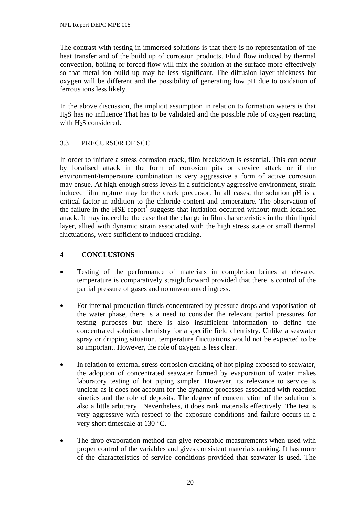<span id="page-23-0"></span>The contrast with testing in immersed solutions is that there is no representation of the heat transfer and of the build up of corrosion products. Fluid flow induced by thermal convection, boiling or forced flow will mix the solution at the surface more effectively so that metal ion build up may be less significant. The diffusion layer thickness for oxygen will be different and the possibility of generating low pH due to oxidation of ferrous ions less likely.

In the above discussion, the implicit assumption in relation to formation waters is that H2S has no influence That has to be validated and the possible role of oxygen reacting with  $H<sub>2</sub>S$  considered.

# 3.3 PRECURSOR OF SCC

In order to initiate a stress corrosion crack, film breakdown is essential. This can occur by localised attack in the form of corrosion pits or crevice attack or if the environment/temperature combination is very aggressive a form of active corrosion may ensue. At high enough stress levels in a sufficiently aggressive environment, strain induced film rupture may be the crack precursor. In all cases, the solution pH is a critical factor in addition to the chloride content and temperature. The observation of the failure in the HSE report<sup>1</sup> suggests that initiation occurred without much localised attack. It may indeed be the case that the change in film characteristics in the thin liquid layer, allied with dynamic strain associated with the high stress state or small thermal fluctuations, were sufficient to induced cracking.

# **4 CONCLUSIONS**

- Testing of the performance of materials in completion brines at elevated temperature is comparatively straightforward provided that there is control of the partial pressure of gases and no unwarranted ingress.
- For internal production fluids concentrated by pressure drops and vaporisation of the water phase, there is a need to consider the relevant partial pressures for testing purposes but there is also insufficient information to define the concentrated solution chemistry for a specific field chemistry. Unlike a seawater spray or dripping situation, temperature fluctuations would not be expected to be so important. However, the role of oxygen is less clear.
- In relation to external stress corrosion cracking of hot piping exposed to seawater, the adoption of concentrated seawater formed by evaporation of water makes laboratory testing of hot piping simpler. However, its relevance to service is unclear as it does not account for the dynamic processes associated with reaction kinetics and the role of deposits. The degree of concentration of the solution is also a little arbitrary. Nevertheless, it does rank materials effectively. The test is very aggressive with respect to the exposure conditions and failure occurs in a very short timescale at 130 °C.
- The drop evaporation method can give repeatable measurements when used with proper control of the variables and gives consistent materials ranking. It has more of the characteristics of service conditions provided that seawater is used. The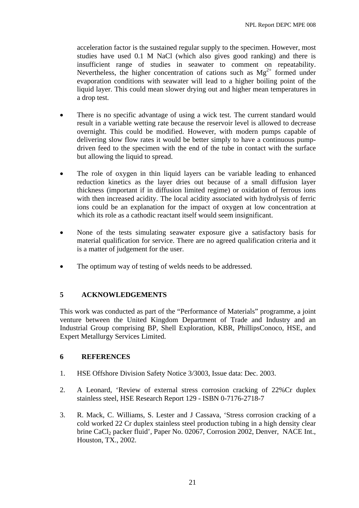<span id="page-24-0"></span>acceleration factor is the sustained regular supply to the specimen. However, most studies have used 0.1 M NaCl (which also gives good ranking) and there is insufficient range of studies in seawater to comment on repeatability. Nevertheless, the higher concentration of cations such as  $Mg^{2+}$  formed under evaporation conditions with seawater will lead to a higher boiling point of the liquid layer. This could mean slower drying out and higher mean temperatures in a drop test.

- There is no specific advantage of using a wick test. The current standard would result in a variable wetting rate because the reservoir level is allowed to decrease overnight. This could be modified. However, with modern pumps capable of delivering slow flow rates it would be better simply to have a continuous pumpdriven feed to the specimen with the end of the tube in contact with the surface but allowing the liquid to spread.
- The role of oxygen in thin liquid layers can be variable leading to enhanced reduction kinetics as the layer dries out because of a small diffusion layer thickness (important if in diffusion limited regime) or oxidation of ferrous ions with then increased acidity. The local acidity associated with hydrolysis of ferric ions could be an explanation for the impact of oxygen at low concentration at which its role as a cathodic reactant itself would seem insignificant.
- None of the tests simulating seawater exposure give a satisfactory basis for material qualification for service. There are no agreed qualification criteria and it is a matter of judgement for the user.
- The optimum way of testing of welds needs to be addressed.

# **5 ACKNOWLEDGEMENTS**

This work was conducted as part of the "Performance of Materials" programme, a joint venture between the United Kingdom Department of Trade and Industry and an Industrial Group comprising BP, Shell Exploration, KBR, PhillipsConoco, HSE, and Expert Metallurgy Services Limited.

#### **6 REFERENCES**

- 1. HSE Offshore Division Safety Notice 3/3003, Issue data: Dec. 2003.
- 2. A Leonard, 'Review of external stress corrosion cracking of 22%Cr duplex stainless steel, HSE Research Report 129 - ISBN 0-7176-2718-7
- 3. R. Mack, C. Williams, S. Lester and J Cassava, 'Stress corrosion cracking of a cold worked 22 Cr duplex stainless steel production tubing in a high density clear brine CaCl<sub>2</sub> packer fluid', Paper No. 02067, Corrosion 2002, Denver, NACE Int., Houston, TX., 2002.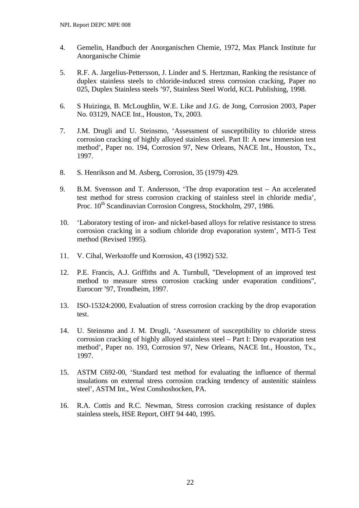- 4. Gemelin, Handbuch der Anorganischen Chemie, 1972, Max Planck Institute fur Anorganische Chimie
- 5. R.F. A. Jargelius-Pettersson, J. Linder and S. Hertzman, Ranking the resistance of duplex stainless steels to chloride-induced stress corrosion cracking, Paper no 025, Duplex Stainless steels '97, Stainless Steel World, KCL Publishing, 1998.
- 6. S Huizinga, B. McLoughlin, W.E. Like and J.G. de Jong, Corrosion 2003, Paper No. 03129, NACE Int., Houston, Tx, 2003.
- 7. J.M. Drugli and U. Steinsmo, 'Assessment of susceptibility to chloride stress corrosion cracking of highly alloyed stainless steel. Part II: A new immersion test method', Paper no. 194, Corrosion 97, New Orleans, NACE Int., Houston, Tx., 1997.
- 8. S. Henrikson and M. Asberg, Corrosion, 35 (1979) 429.
- 9. B.M. Svensson and T. Andersson, 'The drop evaporation test An accelerated test method for stress corrosion cracking of stainless steel in chloride media', Proc. 10<sup>th</sup> Scandinavian Corrosion Congress, Stockholm, 297, 1986.
- 10. 'Laboratory testing of iron- and nickel-based alloys for relative resistance to stress corrosion cracking in a sodium chloride drop evaporation system', MTI-5 Test method (Revised 1995).
- 11. V. Cihal, Werkstoffe und Korrosion, 43 (1992) 532.
- 12. P.E. Francis, A.J. Griffiths and A. Turnbull, "Development of an improved test method to measure stress corrosion cracking under evaporation conditions", Eurocorr '97, Trondheim, 1997.
- 13. ISO-15324:2000, Evaluation of stress corrosion cracking by the drop evaporation test.
- 14. U. Steinsmo and J. M. Drugli, 'Assessment of susceptibility to chloride stress corrosion cracking of highly alloyed stainless steel – Part I: Drop evaporation test method', Paper no. 193, Corrosion 97, New Orleans, NACE Int., Houston, Tx., 1997.
- 15. ASTM C692-00, 'Standard test method for evaluating the influence of thermal insulations on external stress corrosion cracking tendency of austenitic stainless steel', ASTM Int., West Conshoshocken, PA.
- 16. R.A. Cottis and R.C. Newman, Stress corrosion cracking resistance of duplex stainless steels, HSE Report, OHT 94 440, 1995.